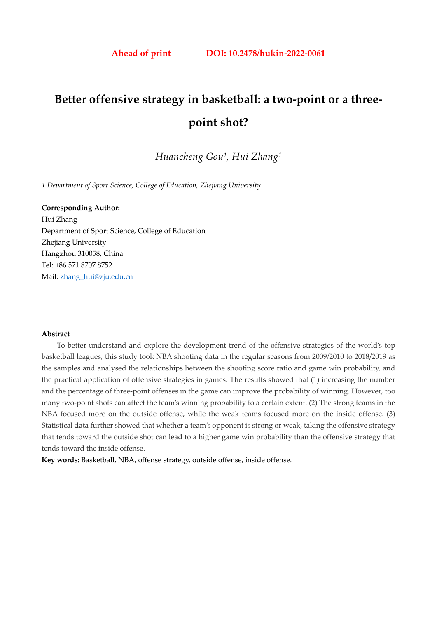# **Better offensive strategy in basketball: a two-point or a threepoint shot?**

*Huancheng Gou1, Hui Zhang1*

*1 Department of Sport Science, College of Education, Zhejiang University* 

**Corresponding Author:**  Hui Zhang Department of Sport Science, College of Education Zhejiang University Hangzhou 310058, China Tel: +86 571 8707 8752 Mail: zhang\_hui@zju.edu.cn

## **Abstract**

To better understand and explore the development trend of the offensive strategies of the world's top basketball leagues, this study took NBA shooting data in the regular seasons from 2009/2010 to 2018/2019 as the samples and analysed the relationships between the shooting score ratio and game win probability, and the practical application of offensive strategies in games. The results showed that (1) increasing the number and the percentage of three-point offenses in the game can improve the probability of winning. However, too many two-point shots can affect the team's winning probability to a certain extent. (2) The strong teams in the NBA focused more on the outside offense, while the weak teams focused more on the inside offense. (3) Statistical data further showed that whether a team's opponent is strong or weak, taking the offensive strategy that tends toward the outside shot can lead to a higher game win probability than the offensive strategy that tends toward the inside offense.

**Key words:** Basketball, NBA, offense strategy, outside offense, inside offense.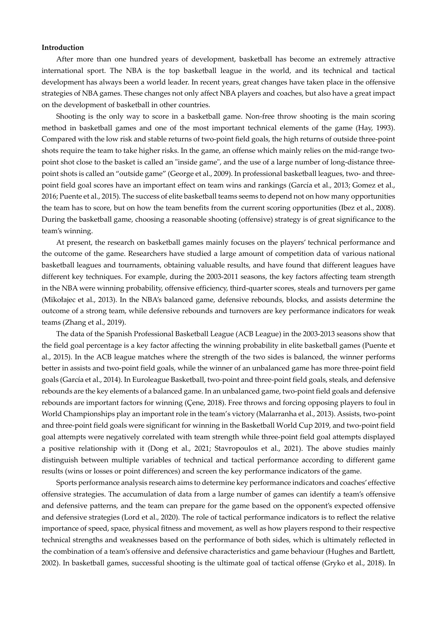## **Introduction**

After more than one hundred years of development, basketball has become an extremely attractive international sport. The NBA is the top basketball league in the world, and its technical and tactical development has always been a world leader. In recent years, great changes have taken place in the offensive strategies of NBA games. These changes not only affect NBA players and coaches, but also have a great impact on the development of basketball in other countries.

Shooting is the only way to score in a basketball game. Non-free throw shooting is the main scoring method in basketball games and one of the most important technical elements of the game (Hay, 1993). Compared with the low risk and stable returns of two-point field goals, the high returns of outside three-point shots require the team to take higher risks. In the game, an offense which mainly relies on the mid-range twopoint shot close to the basket is called an "inside game", and the use of a large number of long-distance threepoint shots is called an "outside game" (George et al., 2009). In professional basketball leagues, two- and threepoint field goal scores have an important effect on team wins and rankings (García et al., 2013; Gomez et al., 2016; Puente et al., 2015). The success of elite basketball teams seems to depend not on how many opportunities the team has to score, but on how the team benefits from the current scoring opportunities (Ibez et al., 2008). During the basketball game, choosing a reasonable shooting (offensive) strategy is of great significance to the team's winning.

At present, the research on basketball games mainly focuses on the players' technical performance and the outcome of the game. Researchers have studied a large amount of competition data of various national basketball leagues and tournaments, obtaining valuable results, and have found that different leagues have different key techniques. For example, during the 2003-2011 seasons, the key factors affecting team strength in the NBA were winning probability, offensive efficiency, third-quarter scores, steals and turnovers per game (Mikołajec et al., 2013). In the NBA's balanced game, defensive rebounds, blocks, and assists determine the outcome of a strong team, while defensive rebounds and turnovers are key performance indicators for weak teams (Zhang et al., 2019).

The data of the Spanish Professional Basketball League (ACB League) in the 2003-2013 seasons show that the field goal percentage is a key factor affecting the winning probability in elite basketball games (Puente et al., 2015). In the ACB league matches where the strength of the two sides is balanced, the winner performs better in assists and two-point field goals, while the winner of an unbalanced game has more three-point field goals (García et al., 2014). In Euroleague Basketball, two-point and three-point field goals, steals, and defensive rebounds are the key elements of a balanced game. In an unbalanced game, two-point field goals and defensive rebounds are important factors for winning (Çene, 2018). Free throws and forcing opposing players to foul in World Championships play an important role in the team's victory (Malarranha et al., 2013). Assists, two-point and three-point field goals were significant for winning in the Basketball World Cup 2019, and two-point field goal attempts were negatively correlated with team strength while three-point field goal attempts displayed a positive relationship with it (Dong et al., 2021; Stavropoulos et al., 2021). The above studies mainly distinguish between multiple variables of technical and tactical performance according to different game results (wins or losses or point differences) and screen the key performance indicators of the game.

Sports performance analysis research aims to determine key performance indicators and coaches' effective offensive strategies. The accumulation of data from a large number of games can identify a team's offensive and defensive patterns, and the team can prepare for the game based on the opponent's expected offensive and defensive strategies (Lord et al., 2020). The role of tactical performance indicators is to reflect the relative importance of speed, space, physical fitness and movement, as well as how players respond to their respective technical strengths and weaknesses based on the performance of both sides, which is ultimately reflected in the combination of a team's offensive and defensive characteristics and game behaviour (Hughes and Bartlett, 2002). In basketball games, successful shooting is the ultimate goal of tactical offense (Gryko et al., 2018). In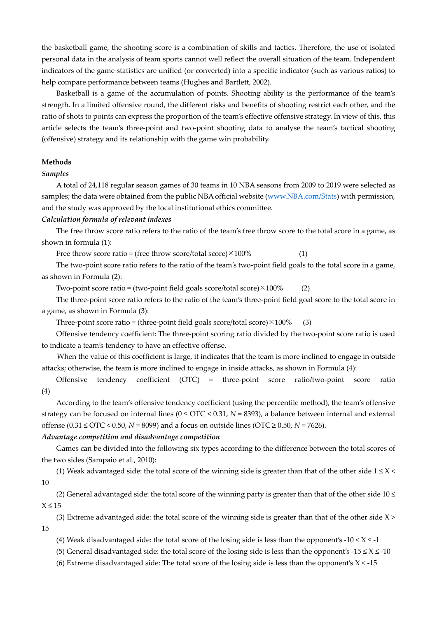the basketball game, the shooting score is a combination of skills and tactics. Therefore, the use of isolated personal data in the analysis of team sports cannot well reflect the overall situation of the team. Independent indicators of the game statistics are unified (or converted) into a specific indicator (such as various ratios) to help compare performance between teams (Hughes and Bartlett, 2002).

Basketball is a game of the accumulation of points. Shooting ability is the performance of the team's strength. In a limited offensive round, the different risks and benefits of shooting restrict each other, and the ratio of shots to points can express the proportion of the team's effective offensive strategy. In view of this, this article selects the team's three-point and two-point shooting data to analyse the team's tactical shooting (offensive) strategy and its relationship with the game win probability.

#### **Methods**

# *Samples*

A total of 24,118 regular season games of 30 teams in 10 NBA seasons from 2009 to 2019 were selected as samples; the data were obtained from the public NBA official website (www.NBA.com/Stats) with permission, and the study was approved by the local institutional ethics committee.

## *Calculation formula of relevant indexes*

The free throw score ratio refers to the ratio of the team's free throw score to the total score in a game, as shown in formula (1):

Free throw score ratio = (free throw score/total score) $\times$ 100% (1)

The two-point score ratio refers to the ratio of the team's two-point field goals to the total score in a game, as shown in Formula (2):

Two-point score ratio = (two-point field goals score/total score) $\times$ 100% (2)

The three-point score ratio refers to the ratio of the team's three-point field goal score to the total score in a game, as shown in Formula (3):

Three-point score ratio = (three-point field goals score/total score) $\times$ 100% (3)

Offensive tendency coefficient: The three-point scoring ratio divided by the two-point score ratio is used to indicate a team's tendency to have an effective offense.

When the value of this coefficient is large, it indicates that the team is more inclined to engage in outside attacks; otherwise, the team is more inclined to engage in inside attacks, as shown in Formula (4):

Offensive tendency coefficient (OTC) = three-point score ratio/two-point score ratio (4)

According to the team's offensive tendency coefficient (using the percentile method), the team's offensive strategy can be focused on internal lines (0 ≤ OTC < 0.31, *N* = 8393), a balance between internal and external offense (0.31 ≤ OTC < 0.50, *N* = 8099) and a focus on outside lines (OTC ≥ 0.50, *N* = 7626).

# *Advantage competition and disadvantage competition*

Games can be divided into the following six types according to the difference between the total scores of the two sides (Sampaio et al., 2010):

(1) Weak advantaged side: the total score of the winning side is greater than that of the other side  $1 \le X$  < 10

(2) General advantaged side: the total score of the winning party is greater than that of the other side 10 ≤  $X < 15$ 

(3) Extreme advantaged side: the total score of the winning side is greater than that of the other side  $X$  > 15

(4) Weak disadvantaged side: the total score of the losing side is less than the opponent's  $-10 < X \le -1$ 

(5) General disadvantaged side: the total score of the losing side is less than the opponent's -15  $\leq$  X  $\leq$  -10

(6) Extreme disadvantaged side: The total score of the losing side is less than the opponent's  $X < -15$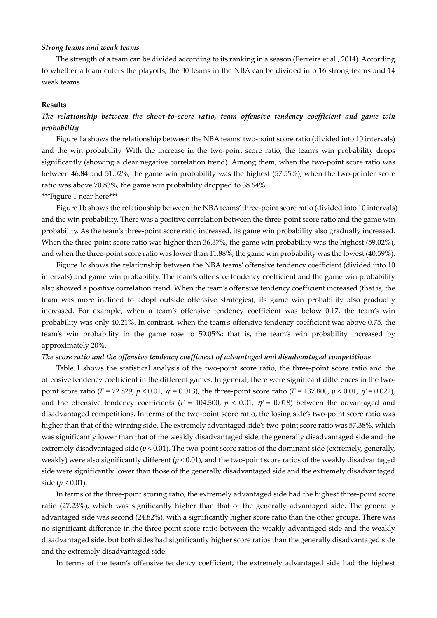#### *Strong teams and weak teams*

The strength of a team can be divided according to its ranking in a season (Ferreira et al., 2014). According to whether a team enters the playoffs, the 30 teams in the NBA can be divided into 16 strong teams and 14 weak teams.

#### **Results**

# *The relationship between the shoot-to-score ratio, team offensive tendency coefficient and game win probability*

Figure 1a shows the relationship between the NBA teams' two-point score ratio (divided into 10 intervals) and the win probability. With the increase in the two-point score ratio, the team's win probability drops significantly (showing a clear negative correlation trend). Among them, when the two-point score ratio was between 46.84 and 51.02%, the game win probability was the highest (57.55%); when the two-pointer score ratio was above 70.83%, the game win probability dropped to 38.64%.

\*\*\*Figure 1 near here\*\*\*

Figure 1b shows the relationship between the NBA teams' three-point score ratio (divided into 10 intervals) and the win probability. There was a positive correlation between the three-point score ratio and the game win probability. As the team's three-point score ratio increased, its game win probability also gradually increased. When the three-point score ratio was higher than 36.37%, the game win probability was the highest (59.02%), and when the three-point score ratio was lower than 11.88%, the game win probability was the lowest (40.59%).

Figure 1c shows the relationship between the NBA teams' offensive tendency coefficient (divided into 10 intervals) and game win probability. The team's offensive tendency coefficient and the game win probability also showed a positive correlation trend. When the team's offensive tendency coefficient increased (that is, the team was more inclined to adopt outside offensive strategies), its game win probability also gradually increased. For example, when a team's offensive tendency coefficient was below 0.17, the team's win probability was only 40.21%. In contrast, when the team's offensive tendency coefficient was above 0.75, the team's win probability in the game rose to 59.05%; that is, the team's win probability increased by approximately 20%.

# *The score ratio and the offensive tendency coefficient of advantaged and disadvantaged competitions*

Table 1 shows the statistical analysis of the two-point score ratio, the three-point score ratio and the offensive tendency coefficient in the different games. In general, there were significant differences in the twopoint score ratio (*F* = 72.829, *p* < 0.01, η*<sup>2</sup>*= 0.013), the three-point score ratio (*F* = 137.800, *p* < 0.01, η*<sup>2</sup>*= 0.022), and the offensive tendency coefficients ( $F = 104.500$ ,  $p < 0.01$ ,  $\eta^2 = 0.018$ ) between the advantaged and disadvantaged competitions. In terms of the two-point score ratio, the losing side's two-point score ratio was higher than that of the winning side. The extremely advantaged side's two-point score ratio was 57.38%, which was significantly lower than that of the weakly disadvantaged side, the generally disadvantaged side and the extremely disadvantaged side (*p* < 0.01). The two-point score ratios of the dominant side (extremely, generally, weakly) were also significantly different (*p* < 0.01), and the two-point score ratios of the weakly disadvantaged side were significantly lower than those of the generally disadvantaged side and the extremely disadvantaged side (*p* < 0.01).

In terms of the three-point scoring ratio, the extremely advantaged side had the highest three-point score ratio (27.23%), which was significantly higher than that of the generally advantaged side. The generally advantaged side was second (24.82%), with a significantly higher score ratio than the other groups. There was no significant difference in the three-point score ratio between the weakly advantaged side and the weakly disadvantaged side, but both sides had significantly higher score ratios than the generally disadvantaged side and the extremely disadvantaged side.

In terms of the team's offensive tendency coefficient, the extremely advantaged side had the highest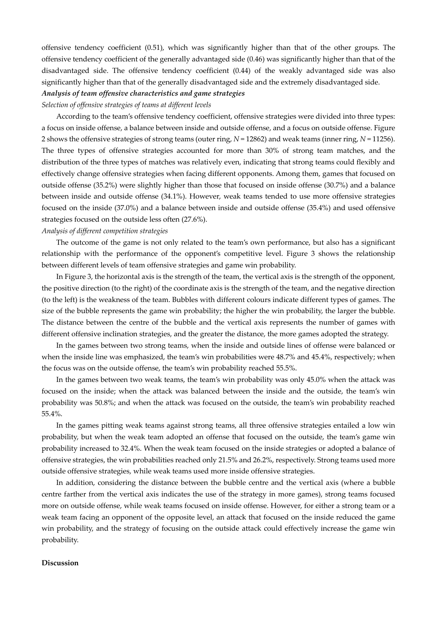offensive tendency coefficient (0.51), which was significantly higher than that of the other groups. The offensive tendency coefficient of the generally advantaged side (0.46) was significantly higher than that of the disadvantaged side. The offensive tendency coefficient (0.44) of the weakly advantaged side was also significantly higher than that of the generally disadvantaged side and the extremely disadvantaged side.

# *Analysis of team offensive characteristics and game strategies*

## *Selection of offensive strategies of teams at different levels*

According to the team's offensive tendency coefficient, offensive strategies were divided into three types: a focus on inside offense, a balance between inside and outside offense, and a focus on outside offense. Figure 2 shows the offensive strategies of strong teams (outer ring, *N* = 12862) and weak teams (inner ring, *N* = 11256). The three types of offensive strategies accounted for more than 30% of strong team matches, and the distribution of the three types of matches was relatively even, indicating that strong teams could flexibly and effectively change offensive strategies when facing different opponents. Among them, games that focused on outside offense (35.2%) were slightly higher than those that focused on inside offense (30.7%) and a balance between inside and outside offense (34.1%). However, weak teams tended to use more offensive strategies focused on the inside (37.0%) and a balance between inside and outside offense (35.4%) and used offensive strategies focused on the outside less often (27.6%).

# *Analysis of different competition strategies*

The outcome of the game is not only related to the team's own performance, but also has a significant relationship with the performance of the opponent's competitive level. Figure 3 shows the relationship between different levels of team offensive strategies and game win probability.

In Figure 3, the horizontal axis is the strength of the team, the vertical axis is the strength of the opponent, the positive direction (to the right) of the coordinate axis is the strength of the team, and the negative direction (to the left) is the weakness of the team. Bubbles with different colours indicate different types of games. The size of the bubble represents the game win probability; the higher the win probability, the larger the bubble. The distance between the centre of the bubble and the vertical axis represents the number of games with different offensive inclination strategies, and the greater the distance, the more games adopted the strategy.

In the games between two strong teams, when the inside and outside lines of offense were balanced or when the inside line was emphasized, the team's win probabilities were 48.7% and 45.4%, respectively; when the focus was on the outside offense, the team's win probability reached 55.5%.

In the games between two weak teams, the team's win probability was only 45.0% when the attack was focused on the inside; when the attack was balanced between the inside and the outside, the team's win probability was 50.8%; and when the attack was focused on the outside, the team's win probability reached 55.4%.

In the games pitting weak teams against strong teams, all three offensive strategies entailed a low win probability, but when the weak team adopted an offense that focused on the outside, the team's game win probability increased to 32.4%. When the weak team focused on the inside strategies or adopted a balance of offensive strategies, the win probabilities reached only 21.5% and 26.2%, respectively. Strong teams used more outside offensive strategies, while weak teams used more inside offensive strategies.

In addition, considering the distance between the bubble centre and the vertical axis (where a bubble centre farther from the vertical axis indicates the use of the strategy in more games), strong teams focused more on outside offense, while weak teams focused on inside offense. However, for either a strong team or a weak team facing an opponent of the opposite level, an attack that focused on the inside reduced the game win probability, and the strategy of focusing on the outside attack could effectively increase the game win probability.

## **Discussion**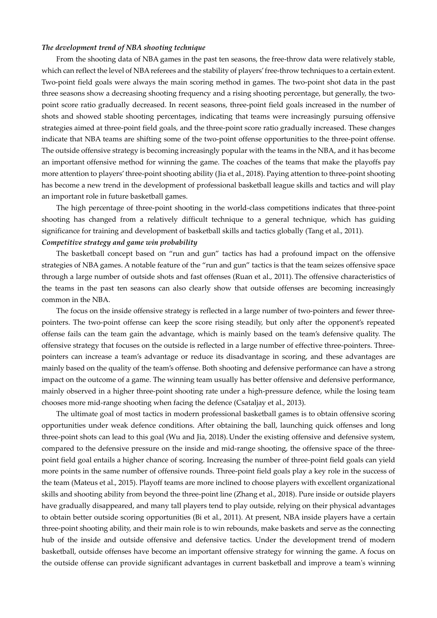#### *The development trend of NBA shooting technique*

From the shooting data of NBA games in the past ten seasons, the free-throw data were relatively stable, which can reflect the level of NBA referees and the stability of players' free-throw techniques to a certain extent. Two-point field goals were always the main scoring method in games. The two-point shot data in the past three seasons show a decreasing shooting frequency and a rising shooting percentage, but generally, the twopoint score ratio gradually decreased. In recent seasons, three-point field goals increased in the number of shots and showed stable shooting percentages, indicating that teams were increasingly pursuing offensive strategies aimed at three-point field goals, and the three-point score ratio gradually increased. These changes indicate that NBA teams are shifting some of the two-point offense opportunities to the three-point offense. The outside offensive strategy is becoming increasingly popular with the teams in the NBA, and it has become an important offensive method for winning the game. The coaches of the teams that make the playoffs pay more attention to players' three-point shooting ability (Jia et al., 2018). Paying attention to three-point shooting has become a new trend in the development of professional basketball league skills and tactics and will play an important role in future basketball games.

The high percentage of three-point shooting in the world-class competitions indicates that three-point shooting has changed from a relatively difficult technique to a general technique, which has guiding significance for training and development of basketball skills and tactics globally (Tang et al., 2011).

# *Competitive strategy and game win probability*

The basketball concept based on "run and gun" tactics has had a profound impact on the offensive strategies of NBA games. A notable feature of the "run and gun" tactics is that the team seizes offensive space through a large number of outside shots and fast offenses (Ruan et al., 2011). The offensive characteristics of the teams in the past ten seasons can also clearly show that outside offenses are becoming increasingly common in the NBA.

The focus on the inside offensive strategy is reflected in a large number of two-pointers and fewer threepointers. The two-point offense can keep the score rising steadily, but only after the opponent's repeated offense fails can the team gain the advantage, which is mainly based on the team's defensive quality. The offensive strategy that focuses on the outside is reflected in a large number of effective three-pointers. Threepointers can increase a team's advantage or reduce its disadvantage in scoring, and these advantages are mainly based on the quality of the team's offense. Both shooting and defensive performance can have a strong impact on the outcome of a game. The winning team usually has better offensive and defensive performance, mainly observed in a higher three-point shooting rate under a high-pressure defence, while the losing team chooses more mid-range shooting when facing the defence (Csataljay et al., 2013).

The ultimate goal of most tactics in modern professional basketball games is to obtain offensive scoring opportunities under weak defence conditions. After obtaining the ball, launching quick offenses and long three-point shots can lead to this goal (Wu and Jia, 2018). Under the existing offensive and defensive system, compared to the defensive pressure on the inside and mid-range shooting, the offensive space of the threepoint field goal entails a higher chance of scoring. Increasing the number of three-point field goals can yield more points in the same number of offensive rounds. Three-point field goals play a key role in the success of the team (Mateus et al., 2015). Playoff teams are more inclined to choose players with excellent organizational skills and shooting ability from beyond the three-point line (Zhang et al., 2018). Pure inside or outside players have gradually disappeared, and many tall players tend to play outside, relying on their physical advantages to obtain better outside scoring opportunities (Bi et al., 2011). At present, NBA inside players have a certain three-point shooting ability, and their main role is to win rebounds, make baskets and serve as the connecting hub of the inside and outside offensive and defensive tactics. Under the development trend of modern basketball, outside offenses have become an important offensive strategy for winning the game. A focus on the outside offense can provide significant advantages in current basketball and improve a team's winning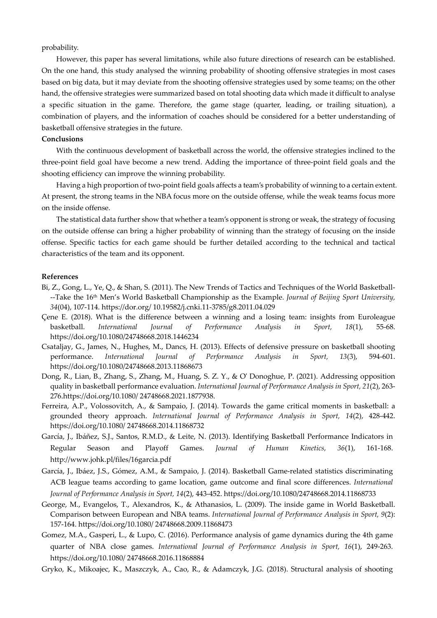probability.

However, this paper has several limitations, while also future directions of research can be established. On the one hand, this study analysed the winning probability of shooting offensive strategies in most cases based on big data, but it may deviate from the shooting offensive strategies used by some teams; on the other hand, the offensive strategies were summarized based on total shooting data which made it difficult to analyse a specific situation in the game. Therefore, the game stage (quarter, leading, or trailing situation), a combination of players, and the information of coaches should be considered for a better understanding of basketball offensive strategies in the future.

## **Conclusions**

With the continuous development of basketball across the world, the offensive strategies inclined to the three-point field goal have become a new trend. Adding the importance of three-point field goals and the shooting efficiency can improve the winning probability.

Having a high proportion of two-point field goals affects a team's probability of winning to a certain extent. At present, the strong teams in the NBA focus more on the outside offense, while the weak teams focus more on the inside offense.

The statistical data further show that whether a team's opponent is strong or weak, the strategy of focusing on the outside offense can bring a higher probability of winning than the strategy of focusing on the inside offense. Specific tactics for each game should be further detailed according to the technical and tactical characteristics of the team and its opponent.

## **References**

- Bi, Z., Gong, L., Ye, Q., & Shan, S. (2011). The New Trends of Tactics and Techniques of the World Basketball- --Take the 16th Men's World Basketball Championship as the Example. *Journal of Beijing Sport University, 34*(04), 107-114. https://dor.org/ 10.19582/j.cnki.11-3785/g8.2011.04.029
- Çene E. (2018). What is the difference between a winning and a losing team: insights from Euroleague basketball. *International Journal of Performance Analysis in Sport, 18*(1), 55-68. https://doi.org/10.1080/24748668.2018.1446234
- Csataljay, G., James, N., Hughes, M., Dancs, H. (2013). Effects of defensive pressure on basketball shooting performance. *International Journal of Performance Analysis in Sport, 13*(3), 594-601. https://doi.org/10.1080/24748668.2013.11868673
- Dong, R., Lian, B., Zhang, S., Zhang, M., Huang, S. Z. Y., & O' Donoghue, P. (2021). Addressing opposition quality in basketball performance evaluation. *International Journal of Performance Analysis in Sport, 21*(2), 263- 276.https://doi.org/10.1080/ 24748668.2021.1877938.
- Ferreira, A.P., Volossovitch, A., & Sampaio, J. (2014). Towards the game critical moments in basketball: a grounded theory approach. *International Journal of Performance Analysis in Sport, 14*(2), 428-442. https://doi.org/10.1080/ 24748668.2014.11868732
- García, J., Ibáñez, S.J., Santos, R.M.D., & Leite, N. (2013). Identifying Basketball Performance Indicators in Regular Season and Playoff Games. *Journal of Human Kinetics, 36*(1), 161-168. http://www.johk.pl/files/16garcia.pdf
- García, J., Ibáez, J.S., Gómez, A.M., & Sampaio, J. (2014). Basketball Game-related statistics discriminating ACB league teams according to game location, game outcome and final score differences. *International Journal of Performance Analysis in Sport, 14*(2), 443-452. https://doi.org/10.1080/24748668.2014.11868733
- George, M., Evangelos, T., Alexandros, K., & Athanasios, L. (2009). The inside game in World Basketball. Comparison between European and NBA teams. *International Journal of Performance Analysis in Sport, 9*(2): 157-164. https://doi.org/10.1080/ 24748668.2009.11868473
- Gomez, M.A., Gasperi, L., & Lupo, C. (2016). Performance analysis of game dynamics during the 4th game quarter of NBA close games. *International Journal of Performance Analysis in Sport, 16*(1), 249-263. https://doi.org/10.1080/ 24748668.2016.11868884
- Gryko, K., Mikoajec, K., Maszczyk, A., Cao, R., & Adamczyk, J.G. (2018). Structural analysis of shooting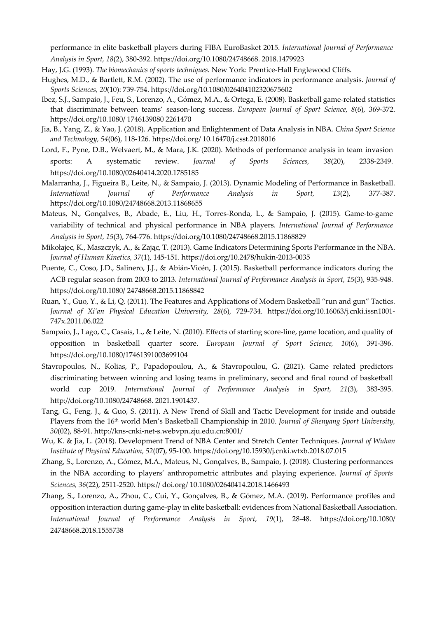performance in elite basketball players during FIBA EuroBasket 2015. *International Journal of Performance Analysis in Sport, 18*(2), 380-392. https://doi.org/10.1080/24748668. 2018.1479923

- Hay, J.G. (1993). *The biomechanics of sports techniques*. New York: Prentice-Hall Englewood Cliffs.
- Hughes, M.D., & Bartlett, R.M. (2002). The use of performance indicators in performance analysis. *Journal of Sports Sciences, 20*(10): 739-754. https://doi.org/10.1080/026404102320675602
- Ibez, S.J., Sampaio, J., Feu, S., Lorenzo, A., Gómez, M.A., & Ortega, E. (2008). Basketball game-related statistics that discriminate between teams' season-long success. *European Journal of Sport Science, 8*(6), 369-372. https://doi.org/10.1080/ 1746139080 2261470
- Jia, B., Yang, Z., & Yao, J. (2018). Application and Enlightenment of Data Analysis in NBA. *China Sport Science and Technology, 54*(06), 118-126. https://doi.org/ 10.16470/j.csst.2018016
- Lord, F., Pyne, D.B., Welvaert, M., & Mara, J.K. (2020). Methods of performance analysis in team invasion sports: A systematic review. *Journal of Sports Sciences, 38*(20), 2338-2349. https://doi.org/10.1080/02640414.2020.1785185
- Malarranha, J., Figueira B., Leite, N., & Sampaio, J. (2013). Dynamic Modeling of Performance in Basketball. *International Journal of Performance Analysis in Sport, 13*(2), 377-387. https://doi.org/10.1080/24748668.2013.11868655
- Mateus, N., Gonçalves, B., Abade, E., Liu, H., Torres-Ronda, L., & Sampaio, J. (2015). Game-to-game variability of technical and physical performance in NBA players. *International Journal of Performance Analysis in Sport, 15*(3), 764-776. https://doi.org/10.1080/24748668.2015.11868829
- Mikołajec, K., Maszczyk, A., & Zając, T. (2013). Game Indicators Determining Sports Performance in the NBA. *Journal of Human Kinetics, 37*(1), 145-151. https://doi.org/10.2478/hukin-2013-0035
- Puente, C., Coso, J.D., Salinero, J.J., & Abián-Vicén, J. (2015). Basketball performance indicators during the ACB regular season from 2003 to 2013. *International Journal of Performance Analysis in Sport, 15*(3), 935-948. https://doi.org/10.1080/ 24748668.2015.11868842
- Ruan, Y., Guo, Y., & Li, Q. (2011). The Features and Applications of Modern Basketball "run and gun" Tactics. *Journal of Xi'an Physical Education University, 28*(6), 729-734. https://doi.org/10.16063/j.cnki.issn1001- 747x.2011.06.022
- Sampaio, J., Lago, C., Casais, L., & Leite, N. (2010). Effects of starting score-line, game location, and quality of opposition in basketball quarter score. *European Journal of Sport Science, 10*(6), 391-396. https://doi.org/10.1080/17461391003699104
- Stavropoulos, N., Kolias, P., Papadopoulou, A., & Stavropoulou, G. (2021). Game related predictors discriminating between winning and losing teams in preliminary, second and final round of basketball world cup 2019. *International Journal of Performance Analysis in Sport, 21*(3), 383-395. http://doi.org/10.1080/24748668. 2021.1901437.
- Tang, G., Feng, J., & Guo, S. (2011). A New Trend of Skill and Tactic Development for inside and outside Players from the 16<sup>th</sup> world Men's Basketball Championship in 2010. *Journal of Shenyang Sport University*, *30*(02), 88-91. http://kns-cnki-net-s.webvpn.zju.edu.cn:8001/
- Wu, K. & Jia, L. (2018). Development Trend of NBA Center and Stretch Center Techniques. *Journal of Wuhan Institute of Physical Education, 52*(07), 95-100. https://doi.org/10.15930/j.cnki.wtxb.2018.07.015
- Zhang, S., Lorenzo, A., Gómez, M.A., Mateus, N., Gonçalves, B., Sampaio, J. (2018). Clustering performances in the NBA according to players' anthropometric attributes and playing experience. *Journal of Sports Sciences, 36*(22), 2511-2520. https:// doi.org/ 10.1080/02640414.2018.1466493
- Zhang, S., Lorenzo, A., Zhou, C., Cui, Y., Gonçalves, B., & Gómez, M.A. (2019). Performance profiles and opposition interaction during game-play in elite basketball: evidences from National Basketball Association. *International Journal of Performance Analysis in Sport, 19*(1), 28-48. https://doi.org/10.1080/ 24748668.2018.1555738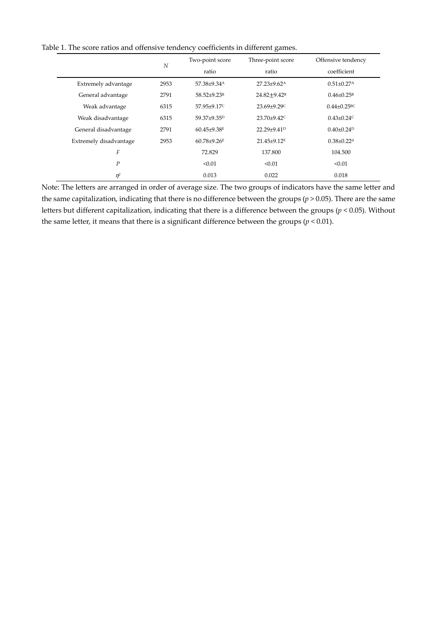Table 1. The score ratios and offensive tendency coefficients in different games.

|                        | N    | Two-point score         | Three-point score           | Offensive tendency            |
|------------------------|------|-------------------------|-----------------------------|-------------------------------|
|                        |      | ratio                   | ratio                       | coefficient                   |
| Extremely advantage    | 2953 | 57.38±9.34 <sup>A</sup> | $27.23 \pm 9.62^{\text{A}}$ | $0.51 \pm 0.27$ <sup>A</sup>  |
| General advantage      | 2791 | 58.52±9.23 <sup>B</sup> | $24.82 + 9.42$ <sup>B</sup> | $0.46 \pm 0.25$ <sup>B</sup>  |
| Weak advantage         | 6315 | 57.95±9.17C             | $23.69 + 9.29$              | $0.44 \pm 0.25$ <sup>BC</sup> |
| Weak disadvantage      | 6315 | 59.37±9.35 <sup>D</sup> | $23.70\pm9.42$              | $0.43 \pm 0.24$ <sup>C</sup>  |
| General disadvantage   | 2791 | $60.45{\pm}9.38E$       | 22.29±9.41 <sup>D</sup>     | $0.40\pm0.24^{D}$             |
| Extremely disadvantage | 2953 | $60.78 + 9.26E$         | 21.45±9.12 <sup>E</sup>     | $0.38 \pm 0.22$ <sup>d</sup>  |
| F                      |      | 72.829                  | 137.800                     | 104.500                       |
| Ρ                      |      | < 0.01                  | < 0.01                      | < 0.01                        |
| $\eta^2$               |      | 0.013                   | 0.022                       | 0.018                         |

Note: The letters are arranged in order of average size. The two groups of indicators have the same letter and the same capitalization, indicating that there is no difference between the groups (*p* > 0.05). There are the same letters but different capitalization, indicating that there is a difference between the groups (*p* < 0.05). Without the same letter, it means that there is a significant difference between the groups  $(p < 0.01)$ .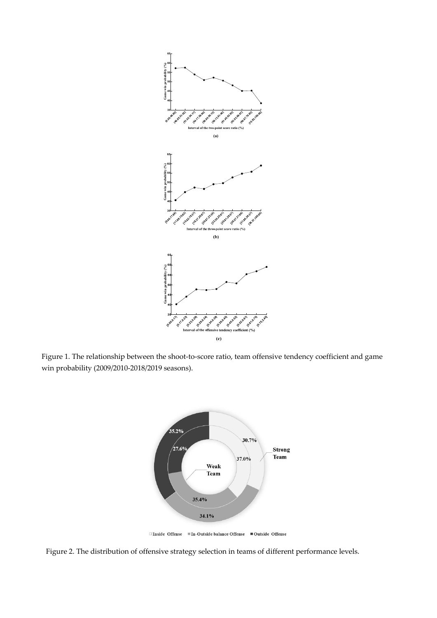

Figure 1. The relationship between the shoot-to-score ratio, team offensive tendency coefficient and game win probability (2009/2010-2018/2019 seasons).



□Inside Offense = In-Outside balance Offense = Outside Offense

Figure 2. The distribution of offensive strategy selection in teams of different performance levels.